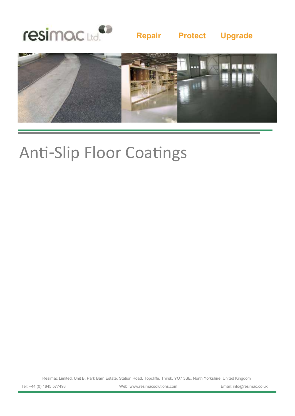

### **Repair Protect Upgrade**



# Anti-Slip Floor Coatings

Resimac Limited, Unit B, Park Barn Estate, Station Road, Topcliffe, Thirsk, YO7 3SE, North Yorkshire, United Kingdom

Tel: +44 (0) 1845 577498 Web: www.resimacsolutions.com Email: info@resimac.co.uk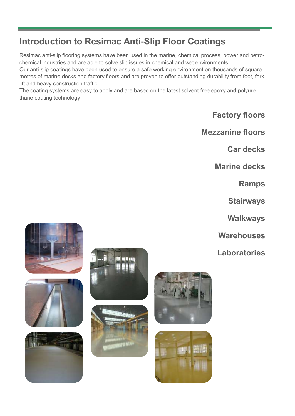## **Introduction to Resimac Anti-Slip Floor Coatings**

Resimac anti-slip flooring systems have been used in the marine, chemical process, power and petrochemical industries and are able to solve slip issues in chemical and wet environments.

Our anti-slip coatings have been used to ensure a safe working environment on thousands of square metres of marine decks and factory floors and are proven to offer outstanding durability from foot, fork lift and heavy construction traffic.

The coating systems are easy to apply and are based on the latest solvent free epoxy and polyurethane coating technology

**Factory floors**

**Mezzanine floors**

**Car decks**

**Marine decks**

**Ramps**

**Stairways**

**Walkways**

**Warehouses**

**Laboratories**













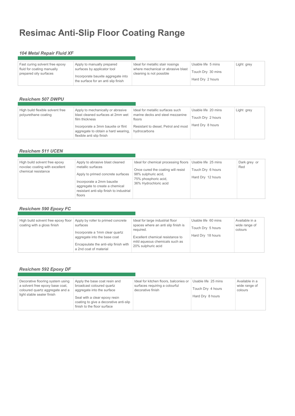## **Resimac Anti-Slip Floor Coating Range**

### *104 Metal Repair Fluid XF*

| Fast curing solvent free epoxy<br>fluid for coating manually<br>prepared oily surfaces | Apply to manually prepared<br>surfaces by applicator tool<br>Incorporate bauxite aggregate into<br>the surface for an anti slip finish | Ideal for metallic stair nosings<br>where mechanical or abrasive blast<br>cleaning is not possible | Usable life 5 mins<br>Touch Dry 30 mins | Light grey |
|----------------------------------------------------------------------------------------|----------------------------------------------------------------------------------------------------------------------------------------|----------------------------------------------------------------------------------------------------|-----------------------------------------|------------|
|                                                                                        |                                                                                                                                        |                                                                                                    | Hard Dry 2 hours                        |            |

### *Resichem 507 DWPU*

| High build flexible solvent free<br>polyurethane coating | Apply to mechanically or abrasive<br>blast cleaned surfaces at 2mm wet<br>film thickness               | Ideal for metallic surfaces such<br>marine decks and steel mezzanine<br>floors | Usable life 20 mins<br>Touch Dry 2 hours | Light grey |
|----------------------------------------------------------|--------------------------------------------------------------------------------------------------------|--------------------------------------------------------------------------------|------------------------------------------|------------|
|                                                          | Incorporate a 3mm bauxite or flint<br>aggregate to obtain a hard wearing,<br>flexible anti slip finish | Resistant to diesel, Petrol and most<br>hydrocarbons                           | Hard Dry 8 hours                         |            |

### *Resichem 511 UCEN*

| Apply to abrasive blast cleaned<br>High build solvent free epoxy<br>novolac coating with excellent<br>metallic surfaces<br>chemical resistance<br>Apply to primed concrete surfaces<br>Incorporate a 2mm bauxite<br>aggregate to create a chemical<br>resistant anti-slip finish to industrial<br>floors | Ideal for chemical processing floors<br>Once cured the coating will resist<br>98% sulphuric acid,<br>75% phosphoric acid,<br>36% Hydrochloric acid | Usable life 25 mins<br>Touch Dry 6 hours<br>Hard Dry 12 hours | Dark grey or<br>Red |
|----------------------------------------------------------------------------------------------------------------------------------------------------------------------------------------------------------------------------------------------------------------------------------------------------------|----------------------------------------------------------------------------------------------------------------------------------------------------|---------------------------------------------------------------|---------------------|
|----------------------------------------------------------------------------------------------------------------------------------------------------------------------------------------------------------------------------------------------------------------------------------------------------------|----------------------------------------------------------------------------------------------------------------------------------------------------|---------------------------------------------------------------|---------------------|

### *Resichem 590 Epoxy FC*

| High build solvent free epoxy floor<br>coating with a gloss finish | Apply by roller to primed concrete<br>surfaces<br>Incorporate a 1mm clear quartz<br>aggregate into the base coat<br>Encapsulate the anti-slip finish with<br>a 2nd coat of material | Ideal for large industrial floor<br>spaces where an anti slip finish is<br>reguired.<br>Excellent chemical resistance to<br>mild aqueous chemicals such as<br>20% sulphuric acid | Usable life 60 mins<br>Touch Dry 5 hours<br>Hard Dry 18 hours | Available in a<br>wide range of<br>colours |
|--------------------------------------------------------------------|-------------------------------------------------------------------------------------------------------------------------------------------------------------------------------------|----------------------------------------------------------------------------------------------------------------------------------------------------------------------------------|---------------------------------------------------------------|--------------------------------------------|
|--------------------------------------------------------------------|-------------------------------------------------------------------------------------------------------------------------------------------------------------------------------------|----------------------------------------------------------------------------------------------------------------------------------------------------------------------------------|---------------------------------------------------------------|--------------------------------------------|

### *Resichem 592 Epoxy DF*

| Decorative flooring system using<br>a solvent free epoxy base coat,<br>coloured quartz aggregate and a<br>light stable sealer finish | Apply the base coat resin and<br>broadcast coloured quartz<br>aggregate into the surface<br>Seal with a clear epoxy resin<br>coating to give a decorative anti-slip | Ideal for kitchen floors, balconies or<br>surfaces requiring a colourful<br>decorative finish | Usable life 25 mins<br>Touch Dry 4 hours<br>Hard Dry 8 hours | Available in a<br>wide range of<br>colours |
|--------------------------------------------------------------------------------------------------------------------------------------|---------------------------------------------------------------------------------------------------------------------------------------------------------------------|-----------------------------------------------------------------------------------------------|--------------------------------------------------------------|--------------------------------------------|
|                                                                                                                                      | finish to the floor surface                                                                                                                                         |                                                                                               |                                                              |                                            |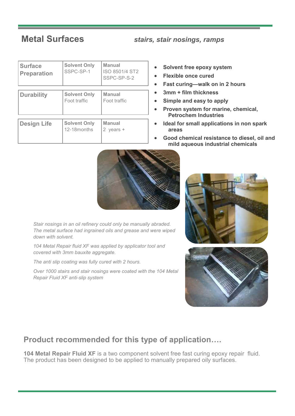**Metal Surfaces** *stairs, stair nosings, ramps*

| <b>Surface</b><br><b>Preparation</b> | <b>Solvent Only</b><br>SSPC-SP-1    | <b>Manual</b><br>ISO 8501/4 ST2<br>SSPC-SP-S-2 |  |  |
|--------------------------------------|-------------------------------------|------------------------------------------------|--|--|
| <b>Durability</b>                    | <b>Solvent Only</b><br>Foot traffic | <b>Manual</b><br>Foot traffic                  |  |  |
| <b>Design Life</b>                   | <b>Solvent Only</b><br>12-18 months | <b>Manual</b><br>2 years +                     |  |  |

- **Solvent free epoxy system**
- **Flexible once cured**
- **Fast curing—walk on in 2 hours**
- **3mm + film thickness**
- **Simple and easy to apply**
- **Proven system for marine, chemical, Petrochem Industries**
- **Ideal for small applications in non spark areas**
- **Good chemical resistance to diesel, oil and mild aqueous industrial chemicals**



*Stair nosings in an oil refinery could only be manually abraded. The metal surface had ingrained oils and grease and were wiped down with solvent.* 

*104 Metal Repair fluid XF was applied by applicator tool and covered with 3mm bauxite aggregate.*

*The anti slip coating was fully cured with 2 hours.* 

*Over 1000 stairs and stair nosings were coated with the 104 Metal Repair Fluid XF anti-slip system*





### **Product recommended for this type of application….**

**104 Metal Repair Fluid XF** is a two component solvent free fast curing epoxy repair fluid. The product has been designed to be applied to manually prepared oily surfaces.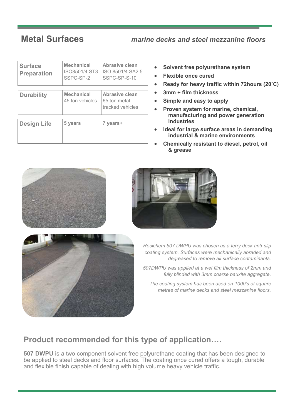### **Metal Surfaces** *marine decks and steel mezzanine floors*

| <b>Surface</b><br><b>Preparation</b> | <b>Mechanical</b><br>ISO8501/4 ST3<br>SSPC-SP-2 | Abrasive clean<br>ISO 8501/4 SA2.5<br>SSPC-SP-S-10 |  |
|--------------------------------------|-------------------------------------------------|----------------------------------------------------|--|
|                                      |                                                 |                                                    |  |
| <b>Durability</b>                    | <b>Mechanical</b><br>45 ton vehicles            | Abrasive clean<br>65 ton metal<br>tracked vehicles |  |
|                                      |                                                 |                                                    |  |
| <b>Design Life</b>                   | 5 years                                         | 7 years+                                           |  |

- **Solvent free polyurethane system**
- **Flexible once cured**
- **Ready for heavy traffic within 72hours (20˚C)**
- **3mm + film thickness**
- **Simple and easy to apply**
- **Proven system for marine, chemical, manufacturing and power generation industries**
- **Ideal for large surface areas in demanding industrial & marine environments**
- **Chemically resistant to diesel, petrol, oil & grease**







*Resichem 507 DWPU was chosen as a ferry deck anti-slip coating system. Surfaces were mechanically abraded and degreased to remove all surface contaminants.*

*507DWPU was applied at a wet film thickness of 2mm and fully blinded with 3mm coarse bauxite aggregate.*

*The coating system has been used on 1000's of square metres of marine decks and steel mezzanine floors.*

### **Product recommended for this type of application….**

**507 DWPU** is a two component solvent free polyurethane coating that has been designed to be applied to steel decks and floor surfaces. The coating once cured offers a tough, durable and flexible finish capable of dealing with high volume heavy vehicle traffic.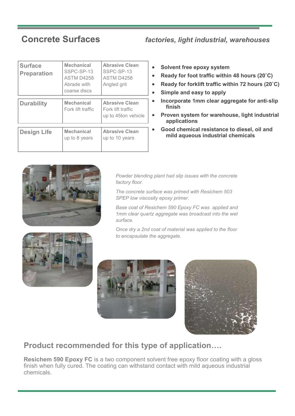### **Concrete Surfaces** *factories, light industrial, warehouses*

| <b>Surface</b><br><b>Preparation</b> | <b>Mechanical</b><br>SSPC-SP-13<br>ASTM D4258<br>Abrade with<br>coarse discs | <b>Abrasive Clean</b><br>SSPC-SP-13<br>ASTM D4258<br>Angled grit  |
|--------------------------------------|------------------------------------------------------------------------------|-------------------------------------------------------------------|
| <b>Durability</b>                    | <b>Mechanical</b><br>Fork lift traffic                                       | <b>Abrasive Clean</b><br>Fork lift traffic<br>up to 45ton vehicle |
| <b>Design Life</b>                   | <b>Mechanical</b><br>up to 8 years                                           | <b>Abrasive Clean</b><br>up to 10 years                           |

- **Solvent free epoxy system**
- **Ready for foot traffic within 48 hours (20˚C)**
- **Ready for forklift traffic within 72 hours (20˚C)**
- **Simple and easy to apply**
- **Incorporate 1mm clear aggregate for anti-slip finish**
- **Proven system for warehouse, light industrial applications**
- **Good chemical resistance to diesel, oil and mild aqueous industrial chemicals**



*Powder blending plant had slip issues with the concrete factory floor.* 

*The concrete surface was primed with Resichem 503 SPEP low viscosity epoxy primer.*

*Base coat of Resichem 590 Epoxy FC was applied and 1mm clear quartz aggregate was broadcast into the wet surface.* 









### **Product recommended for this type of application….**

**Resichem 590 Epoxy FC** is a two component solvent free epoxy floor coating with a gloss finish when fully cured. The coating can withstand contact with mild aqueous industrial chemicals.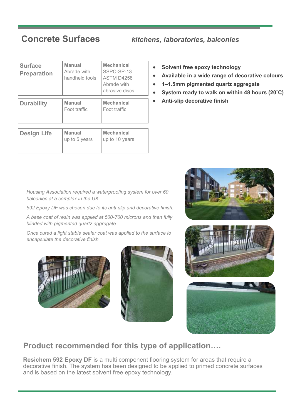**Concrete Surfaces** *kitchens, laboratories, balconies* 

| <b>Surface</b><br><b>Preparation</b> | <b>Manual</b><br>Abrade with<br>handheld tools | <b>Mechanical</b><br>SSPC-SP-13<br>ASTM D4258<br>Abrade with<br>abrasive discs |
|--------------------------------------|------------------------------------------------|--------------------------------------------------------------------------------|
| <b>Durability</b>                    | <b>Manual</b><br>Foot traffic                  | <b>Mechanical</b><br>Foot traffic                                              |
| <b>Design Life</b>                   | <b>Manual</b><br>up to 5 years                 | <b>Mechanical</b><br>up to 10 years                                            |

- **Solvent free epoxy technology**
- **Available in a wide range of decorative colours**
- **1–1.5mm pigmented quartz aggregate**
- **System ready to walk on within 48 hours (20˚C)**
- **Anti-slip decorative finish**





*592 Epoxy DF was chosen due to its anti-slip and decorative finish.* 

*A base coat of resin was applied at 500-700 microns and then fully blinded with pigmented quartz aggregate.* 

*Once cured a light stable sealer coat was applied to the surface to encapsulate the decorative finish*







### **Product recommended for this type of application….**

**Resichem 592 Epoxy DF** is a multi component flooring system for areas that require a decorative finish. The system has been designed to be applied to primed concrete surfaces and is based on the latest solvent free epoxy technology.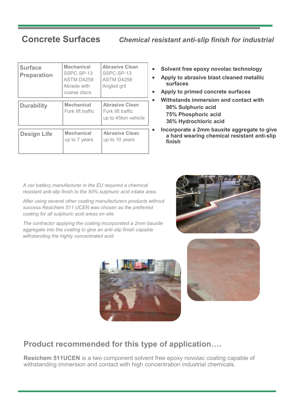### **Concrete Surfaces** *Chemical resistant anti-slip finish for industrial*

| <b>Surface</b><br><b>Preparation</b> | <b>Mechanical</b><br>SSPC-SP-13<br>ASTM D4258<br>Abrade with<br>coarse discs | <b>Abrasive Clean</b><br>SSPC-SP-13<br>ASTM D4258<br>Angled grit  |
|--------------------------------------|------------------------------------------------------------------------------|-------------------------------------------------------------------|
| <b>Durability</b>                    | <b>Mechanical</b><br>Fork lift traffic                                       | <b>Abrasive Clean</b><br>Fork lift traffic<br>up to 45ton vehicle |
| <b>Design Life</b>                   | <b>Mechanical</b><br>up to 7 years                                           | <b>Abrasive Clean</b><br>up to 10 years                           |

- **Solvent free epoxy novolac technology**
- **Apply to abrasive blast cleaned metallic surfaces**
- **Apply to primed concrete surfaces**
- **Withstands immersion and contact with 98% Sulphuric acid 75% Phosphoric acid 36% Hydrochloric acid**
- **Incorporate a 2mm bauxite aggregate to give a hard wearing chemical resistant anti-slip finish**

*A car battery manufacturer in the EU required a chemical resistant anti-slip finish to the 50% sulphuric acid intake area.* 

*After using several other coating manufacturers products without success Resichem 511 UCEN was chosen as the preferred coating for all sulphuric acid areas on site.* 

*The contractor applying the coating incorporated a 2mm bauxite aggregate into the coating to give an anti-slip finish capable withstanding the highly concentrated acid* 







### **Product recommended for this type of application….**

**Resichem 511UCEN** is a two component solvent free epoxy novolac coating capable of withstanding immersion and contact with high concentration industrial chemicals.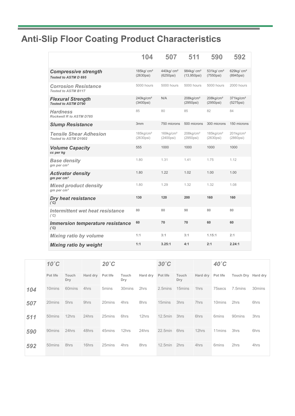## **Anti-Slip Floor Coating Product Characteristics**

|                                                           | 104                                            | 507                                            | 511                                              | 590                                              | 592                                                |
|-----------------------------------------------------------|------------------------------------------------|------------------------------------------------|--------------------------------------------------|--------------------------------------------------|----------------------------------------------------|
| <b>Compressive strength</b><br>Tested to ASTM D 695       | 185 $kg/cm2$<br>$(2630\text{psi})$             | 440kg/ cm <sup>2</sup><br>$(6250\text{psi})$   | 984kg/ cm <sup>2</sup><br>$(13,950\,\text{psi})$ | $531$ kg/ $cm2$<br>$(7550\text{psi})$            | 629 $kg/cm2$<br>(8945psi)                          |
| <b>Corrosion Resistance</b><br><b>Tested to ASTM B117</b> | 5000 hours                                     | 5000 hours                                     | 5000 hours                                       | 5000 hours                                       | 2000 hours                                         |
| <b>Flexural Strength</b><br><b>Tested to ASTM D790</b>    | $240$ kg/cm <sup>2</sup><br>$(3400\text{psi})$ | N/A                                            | $208$ kg/cm <sup>2</sup><br>$(2950\,\text{psi})$ | $208$ kg/cm <sup>2</sup><br>$(2950\,\text{psi})$ | $371$ kg/cm <sup>2</sup><br>(5275 <sub>psi</sub> ) |
| <b>Hardness</b><br>Rockwell R to ASTM D785                | 85                                             | 80                                             | 85                                               | 82                                               | 84                                                 |
| <b>Slump Resistance</b>                                   | 3 <sub>mm</sub>                                | 750 microns                                    | 500 microns                                      | 300 microns                                      | 150 microns                                        |
| <b>Tensile Shear Adhesion</b><br>Tested to ASTM D1002     | $185$ kg/cm <sup>2</sup><br>$(2630\text{psi})$ | $169$ kg/cm <sup>2</sup><br>$(2400\text{psi})$ | $208$ kg/cm <sup>2</sup><br>$(2950\,\text{psi})$ | $185$ kg/cm <sup>2</sup><br>$(2630\text{psi})$   | $201$ kg/cm <sup>2</sup><br>$(2860\text{psi})$     |
| <b>Volume Capacity</b><br>cc per kg                       | 555                                            | 1000                                           | 1000                                             | 1000                                             | 1000                                               |
| <b>Base density</b><br>$gm$ per cm <sup>3</sup>           | 1.80                                           | 1.31                                           | 1.41                                             | 1.75                                             | 1.12                                               |
| <b>Activator density</b><br>$qm$ per cm <sup>3</sup>      | 1.80                                           | 1.22                                           | 1.02                                             | 1.00                                             | 1.00                                               |
| <b>Mixed product density</b><br>$qm$ per cm <sup>3</sup>  | 1.80                                           | 1.29                                           | 1.32                                             | 1.32                                             | 1.08                                               |
| <b>Dry heat resistance</b><br>(°C)                        | 130                                            | 120                                            | 200                                              | 160                                              | 160                                                |
| Intermittent wet heat resistance<br>(°C)                  | 80                                             | 80                                             | 90                                               | 80                                               | 80                                                 |
| <b>Immersion temperature resistance</b><br>$(^{\circ}C)$  | 60                                             | 70                                             | 70                                               | 60                                               | 60                                                 |
| <b>Mixing ratio by volume</b>                             | 1:1                                            | 3:1                                            | 3:1                                              | 1.15:1                                           | 2:1                                                |
| <b>Mixing ratio by weight</b>                             | 1:1                                            | 3.25:1                                         | 4:1                                              | 2:1                                              | 2.24:1                                             |

|     | $10^{\circ}$ C     |              |          | $20^{\circ}$ C |              |          | $30^{\circ}$ C |              |          | $40^{\circ}$ C     |           |                    |
|-----|--------------------|--------------|----------|----------------|--------------|----------|----------------|--------------|----------|--------------------|-----------|--------------------|
|     | Pot life           | Touch<br>Dry | Hard dry | Pot life       | Touch<br>Dry | Hard dry | Pot life       | Touch<br>Dry | Hard dry | Pot life           | Touch Dry | Hard dry           |
| 104 | 10 <sub>mins</sub> | 60mins       | 4hrs     | 5mins          | 30mins       | 2hrs     | 2.5mins        | 15mins       | 1hrs     | 75secs             | 7.5mins   | 30 <sub>mins</sub> |
| 507 | 20mins             | 5hrs         | 9hrs     | 20mins         | 4hrs         | 8hrs     | 15mins         | 3hrs         | 7hrs     | 10 <sub>mins</sub> | 2hrs      | 6hrs               |
| 511 | 50 <sub>mins</sub> | 12hrs        | 24hrs    | 25mins         | 6hrs         | 12hrs    | 12.5min        | 3hrs         | 6hrs     | 6mins              | 90mins    | 3hrs               |
| 590 | 90mins             | 24hrs        | 48hrs    | 45mins         | 12hrs        | 24hrs    | $22.5$ min     | 6hrs         | 12hrs    | 11 mins            | 3hrs      | 6hrs               |
| 592 | 50 <sub>mins</sub> | 8hrs         | 16hrs    | 25mins         | 4hrs         | 8hrs     | 12.5min        | 2hrs         | 4hrs     | 6mins              | 2hrs      | 4hrs               |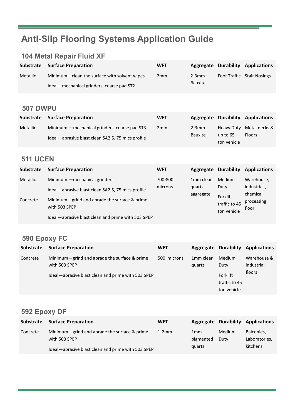## **Anti-Slip Flooring Systems Application Guide**

### **104 Metal Repair Fluid XF**

|          | Substrate Surface Preparation                | <b>WFT</b>      |            | <b>Aggregate Durability Applications</b> |
|----------|----------------------------------------------|-----------------|------------|------------------------------------------|
| Metallic | Minimum-clean the surface with solvent wipes | 2 <sub>mm</sub> | $2 - 3$ mm | <b>Foot Traffic Stair Nosings</b>        |
|          | Ideal-mechanical grinders, coarse pad ST2    |                 | Bauxite    |                                          |

### **507 DWPU**

| <b>Substrate</b> | <b>Surface Preparation</b>                        | <b>WFT</b>      |         |                   | <b>Aggregate Durability Applications</b> |
|------------------|---------------------------------------------------|-----------------|---------|-------------------|------------------------------------------|
| Metallic         | Minimum — mechanical grinders, coarse pad ST3     | 2 <sub>mm</sub> | $2-3mm$ | <b>Heavy Duty</b> | Metal decks &                            |
|                  | Ideal—abrasive blast clean SA2.5, 75 mics profile |                 | Bauxite | up to $65$        | <b>Floors</b>                            |
|                  |                                                   |                 |         | ton vehicle       |                                          |

### **511 UCEN**

| <b>Substrate</b> | <b>Surface Preparation</b>                                                                                         | <b>WFT</b> | Aggregate             | <b>Durability</b>         | <b>Applications</b> |
|------------------|--------------------------------------------------------------------------------------------------------------------|------------|-----------------------|---------------------------|---------------------|
| Metallic         | Minimum - mechanical grinders                                                                                      | 700-800    | 1 <sub>mm</sub> clear | <b>Medium</b>             | Warehouse,          |
| Concrete         | Ideal-abrasive blast clean SA2.5, 75 mics profile<br>Minimum-grind and abrade the surface & prime<br>with 503 SPEP | microns    | quartz<br>aggregate   | Duty                      | industrial,         |
|                  |                                                                                                                    |            |                       | Forklift<br>traffic to 45 | chemical            |
|                  |                                                                                                                    |            |                       |                           | processing          |
|                  |                                                                                                                    |            |                       |                           | floor               |
|                  |                                                                                                                    |            |                       | ton vehicle               |                     |
|                  | Ideal-abrasive blast clean and prime with 503 SPEP                                                                 |            |                       |                           |                     |

### **590 Epoxy FC**

| <b>Substrate</b> | <b>Surface Preparation</b>                                    | <b>WFT</b>  |                                 | <b>Aggregate Durability</b>              | <b>Applications</b>                 |
|------------------|---------------------------------------------------------------|-------------|---------------------------------|------------------------------------------|-------------------------------------|
| Concrete         | Minimum-grind and abrade the surface & prime<br>with 503 SPEP | 500 microns | 1 <sub>mm</sub> clear<br>quartz | Medium<br>Duty                           | Warehouse &<br>industrial<br>floors |
|                  | Ideal-abrasive blast clean and prime with 503 SPEP            |             |                                 | Forklift<br>traffic to 45<br>ton vehicle |                                     |

### **592 Epoxy DF**

| Substrate | <b>Surface Preparation</b>                         | <b>WFT</b> |                 |               | <b>Aggregate Durability Applications</b> |
|-----------|----------------------------------------------------|------------|-----------------|---------------|------------------------------------------|
| Concrete  | Minimum-grind and abrade the surface & prime       | $1-2mm$    | 1 <sub>mm</sub> | <b>Medium</b> | Balconies,                               |
|           | with 503 SPEP                                      |            | pigmented       | Duty          | Laboratories,                            |
|           | Ideal—abrasive blast clean and prime with 503 SPEP |            | quartz          |               | kitchens                                 |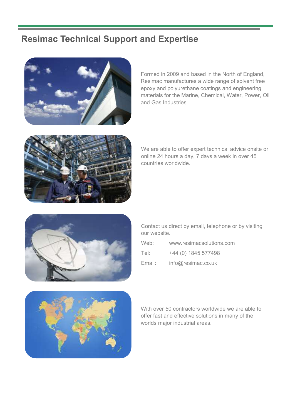### **Resimac Technical Support and Expertise**



Formed in 2009 and based in the North of England, Resimac manufactures a wide range of solvent free epoxy and polyurethane coatings and engineering materials for the Marine, Chemical, Water, Power, Oil and Gas Industries.



We are able to offer expert technical advice onsite or online 24 hours a day, 7 days a week in over 45 countries worldwide.



Contact us direct by email, telephone or by visiting our website.

Web: www.resimacsolutions.com Tel: +44 (0) 1845 577498 Email: info@resimac.co.uk



With over 50 contractors worldwide we are able to offer fast and effective solutions in many of the worlds major industrial areas.